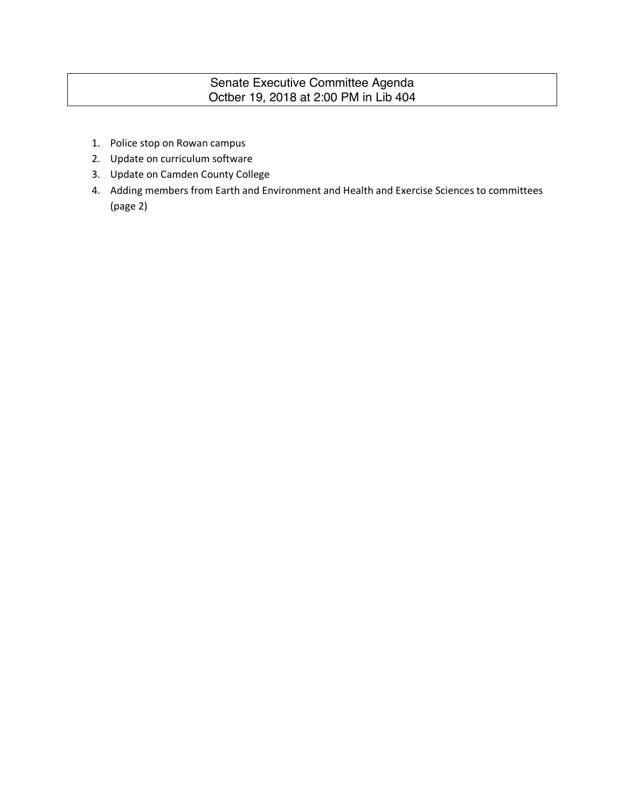# Senate Executive Committee Agenda Octber 19, 2018 at 2:00 PM in Lib 404

- 1. Police stop on Rowan campus
- 2. Update on curriculum software
- 3. Update on Camden County College
- 4. Adding members from Earth and Environment and Health and Exercise Sciences to committees (page 2)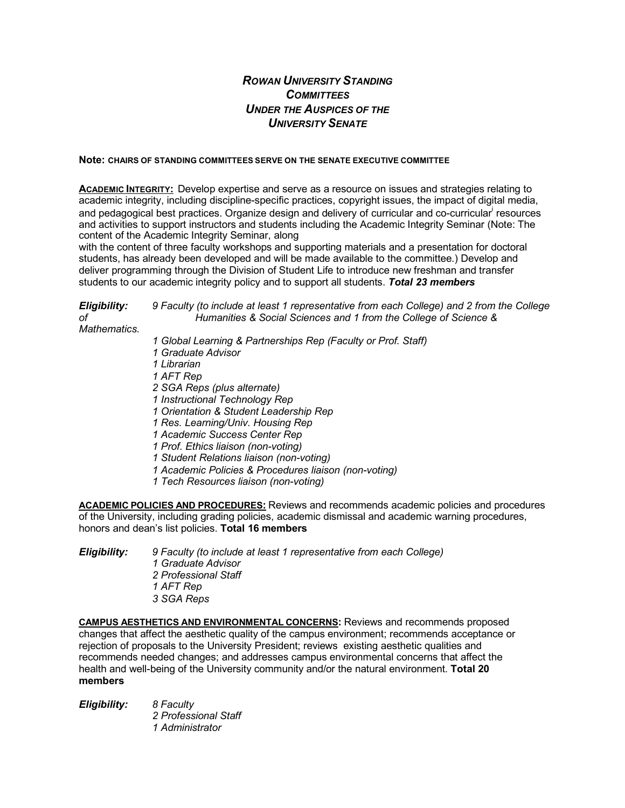# *ROWAN UNIVERSITY STANDING COMMITTEES UNDER THE AUSPICES OF THE UNIVERSITY SENATE*

#### **Note: CHAIRS OF STANDING COMMITTEES SERVE ON THE SENATE EXECUTIVE COMMITTEE**

**ACADEMIC INTEGRITY:** Develop expertise and serve as a resource on issues and strategies relating to academic integrity, including discipline-specific practices, copyright issues, the impact of digital media, and pedagogical best practices. Organize design and delivery of curricular and co-curricular<sup>i</sup> resources and activities to support instructors and students including the Academic Integrity Seminar (Note: The content of the Academic Integrity Seminar, along

with the content of three faculty workshops and supporting materials and a presentation for doctoral students, has already been developed and will be made available to the committee.) Develop and deliver programming through the Division of Student Life to introduce new freshman and transfer students to our academic integrity policy and to support all students. *Total 23 members*

| Eligibility:<br>оf<br>Mathematics. | 9 Faculty (to include at least 1 representative from each College) and 2 from the College<br>Humanities & Social Sciences and 1 from the College of Science & |
|------------------------------------|---------------------------------------------------------------------------------------------------------------------------------------------------------------|
|                                    | 1 Global Learning & Partnerships Rep (Faculty or Prof. Staff)                                                                                                 |
|                                    | 1 Graduate Advisor                                                                                                                                            |
|                                    | 1 Librarian                                                                                                                                                   |
|                                    | 1 AFT Rep                                                                                                                                                     |
|                                    | 2 SGA Reps (plus alternate)                                                                                                                                   |
|                                    | 1 Instructional Technology Rep                                                                                                                                |
|                                    | 1 Orientation & Student Leadership Rep                                                                                                                        |
|                                    | 1 Res. Learning/Univ. Housing Rep                                                                                                                             |
|                                    | 1 Academic Success Center Rep                                                                                                                                 |
|                                    | 1 Prof. Ethics liaison (non-voting)                                                                                                                           |
|                                    | 1 Student Relations liaison (non-voting)                                                                                                                      |
|                                    | 1 Academic Policies & Procedures liaison (non-voting)                                                                                                         |
|                                    | 1 Tech Resources liaison (non-voting)                                                                                                                         |

**ACADEMIC POLICIES AND PROCEDURES:** Reviews and recommends academic policies and procedures of the University, including grading policies, academic dismissal and academic warning procedures, honors and dean's list policies. **Total 16 members**

| Eligibility: | 9 Faculty (to include at least 1 representative from each College)<br>1 Graduate Advisor |
|--------------|------------------------------------------------------------------------------------------|
|              |                                                                                          |
|              | 2 Professional Staff                                                                     |
|              | 1 AFT Rep                                                                                |
|              | 3 SGA Reps                                                                               |

**CAMPUS AESTHETICS AND ENVIRONMENTAL CONCERNS:** Reviews and recommends proposed changes that affect the aesthetic quality of the campus environment; recommends acceptance or rejection of proposals to the University President; reviews existing aesthetic qualities and recommends needed changes; and addresses campus environmental concerns that affect the health and well-being of the University community and/or the natural environment. **Total 20 members**

| Eligibility: | 8 Faculty            |
|--------------|----------------------|
|              | 2 Professional Staff |
|              | 1 Administrator      |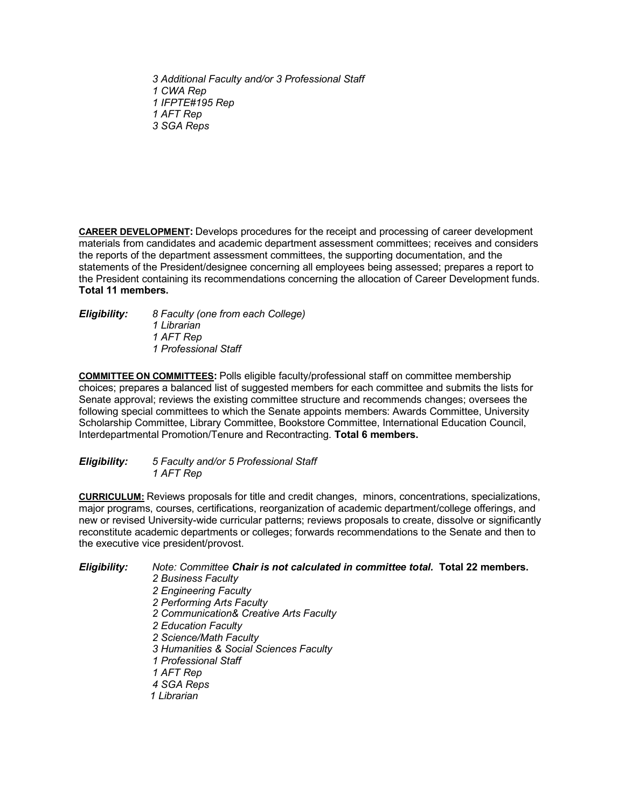*3 Additional Faculty and/or 3 Professional Staff 1 CWA Rep 1 IFPTE#195 Rep 1 AFT Rep 3 SGA Reps*

**CAREER DEVELOPMENT:** Develops procedures for the receipt and processing of career development materials from candidates and academic department assessment committees; receives and considers the reports of the department assessment committees, the supporting documentation, and the statements of the President/designee concerning all employees being assessed; prepares a report to the President containing its recommendations concerning the allocation of Career Development funds. **Total 11 members.**

# *Eligibility: 8 Faculty (one from each College)*

*1 Librarian 1 AFT Rep 1 Professional Staff*

**COMMITTEE ON COMMITTEES:** Polls eligible faculty/professional staff on committee membership choices; prepares a balanced list of suggested members for each committee and submits the lists for Senate approval; reviews the existing committee structure and recommends changes; oversees the following special committees to which the Senate appoints members: Awards Committee, University Scholarship Committee, Library Committee, Bookstore Committee, International Education Council, Interdepartmental Promotion/Tenure and Recontracting. **Total 6 members.**

## *Eligibility: 5 Faculty and/or 5 Professional Staff 1 AFT Rep*

**CURRICULUM:** Reviews proposals for title and credit changes, minors, concentrations, specializations, major programs, courses, certifications, reorganization of academic department/college offerings, and new or revised University-wide curricular patterns; reviews proposals to create, dissolve or significantly reconstitute academic departments or colleges; forwards recommendations to the Senate and then to the executive vice president/provost.

*Eligibility: Note: Committee Chair is not calculated in committee total.* **Total 22 members.**

*2 Business Faculty 2 Engineering Faculty 2 Performing Arts Faculty 2 Communication& Creative Arts Faculty 2 Education Faculty 2 Science/Math Faculty 3 Humanities & Social Sciences Faculty 1 Professional Staff 1 AFT Rep 4 SGA Reps 1 Librarian*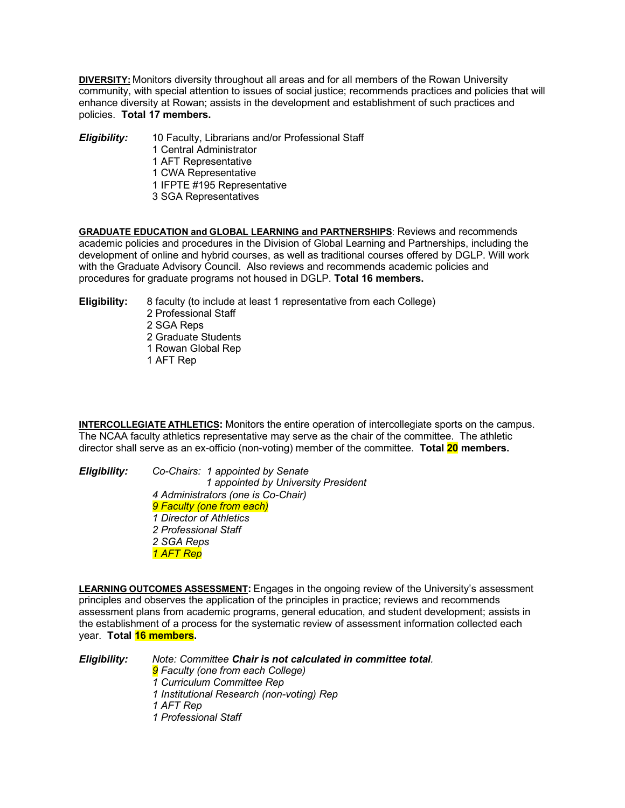**DIVERSITY:** Monitors diversity throughout all areas and for all members of the Rowan University community, with special attention to issues of social justice; recommends practices and policies that will enhance diversity at Rowan; assists in the development and establishment of such practices and policies. **Total 17 members.**

#### *Eligibility:* 10 Faculty, Librarians and/or Professional Staff

- 1 Central Administrator
- 1 AFT Representative
- 1 CWA Representative
- 1 IFPTE #195 Representative
- 3 SGA Representatives

**GRADUATE EDUCATION and GLOBAL LEARNING and PARTNERSHIPS**: Reviews and recommends academic policies and procedures in the Division of Global Learning and Partnerships, including the development of online and hybrid courses, as well as traditional courses offered by DGLP. Will work with the Graduate Advisory Council. Also reviews and recommends academic policies and procedures for graduate programs not housed in DGLP. **Total 16 members.**

**Eligibility:** 8 faculty (to include at least 1 representative from each College)

- 2 Professional Staff
- 2 SGA Reps
- 2 Graduate Students
- 1 Rowan Global Rep
- 1 AFT Rep

**INTERCOLLEGIATE ATHLETICS:** Monitors the entire operation of intercollegiate sports on the campus. The NCAA faculty athletics representative may serve as the chair of the committee. The athletic director shall serve as an ex-officio (non-voting) member of the committee. **Total 20 members.**

#### *Eligibility: Co-Chairs: 1 appointed by Senate 1 appointed by University President 4 Administrators (one is Co-Chair) 9 Faculty (one from each) 1 Director of Athletics 2 Professional Staff 2 SGA Reps 1 AFT Rep*

**LEARNING OUTCOMES ASSESSMENT:** Engages in the ongoing review of the University's assessment principles and observes the application of the principles in practice; reviews and recommends assessment plans from academic programs, general education, and student development; assists in the establishment of a process for the systematic review of assessment information collected each year. **Total 16 members.**

*Eligibility: Note: Committee Chair is not calculated in committee total. 9 Faculty (one from each College) 1 Curriculum Committee Rep 1 Institutional Research (non-voting) Rep 1 AFT Rep 1 Professional Staff*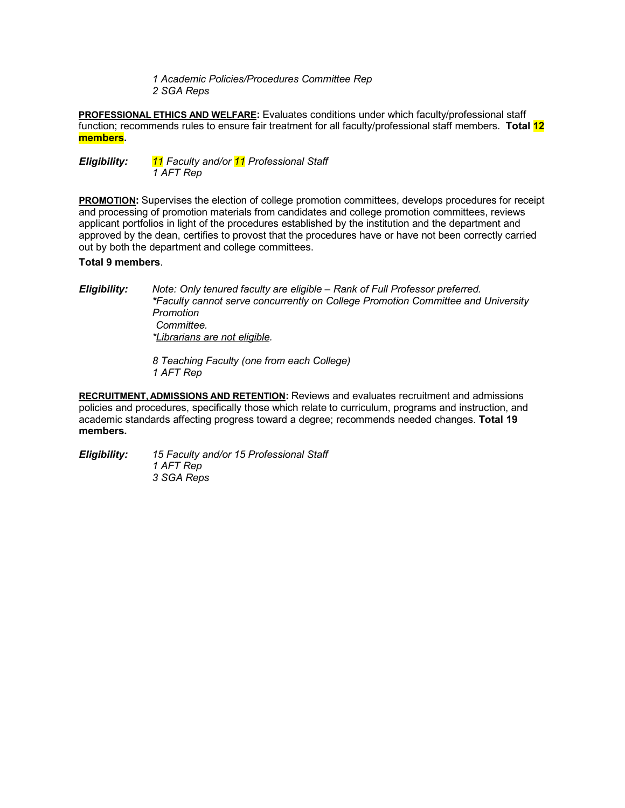*1 Academic Policies/Procedures Committee Rep 2 SGA Reps*

**PROFESSIONAL ETHICS AND WELFARE:** Evaluates conditions under which faculty/professional staff function; recommends rules to ensure fair treatment for all faculty/professional staff members. **Total 12 members.**

*Eligibility: 11 Faculty and/or 11 Professional Staff 1 AFT Rep*

**PROMOTION:** Supervises the election of college promotion committees, develops procedures for receipt and processing of promotion materials from candidates and college promotion committees, reviews applicant portfolios in light of the procedures established by the institution and the department and approved by the dean, certifies to provost that the procedures have or have not been correctly carried out by both the department and college committees.

### **Total 9 members**.

*Eligibility: Note: Only tenured faculty are eligible – Rank of Full Professor preferred. \*Faculty cannot serve concurrently on College Promotion Committee and University Promotion Committee. \*Librarians are not eligible.*

> *8 Teaching Faculty (one from each College) 1 AFT Rep*

**RECRUITMENT, ADMISSIONS AND RETENTION:** Reviews and evaluates recruitment and admissions policies and procedures, specifically those which relate to curriculum, programs and instruction, and academic standards affecting progress toward a degree; recommends needed changes. **Total 19 members.**

*Eligibility: 15 Faculty and/or 15 Professional Staff 1 AFT Rep 3 SGA Reps*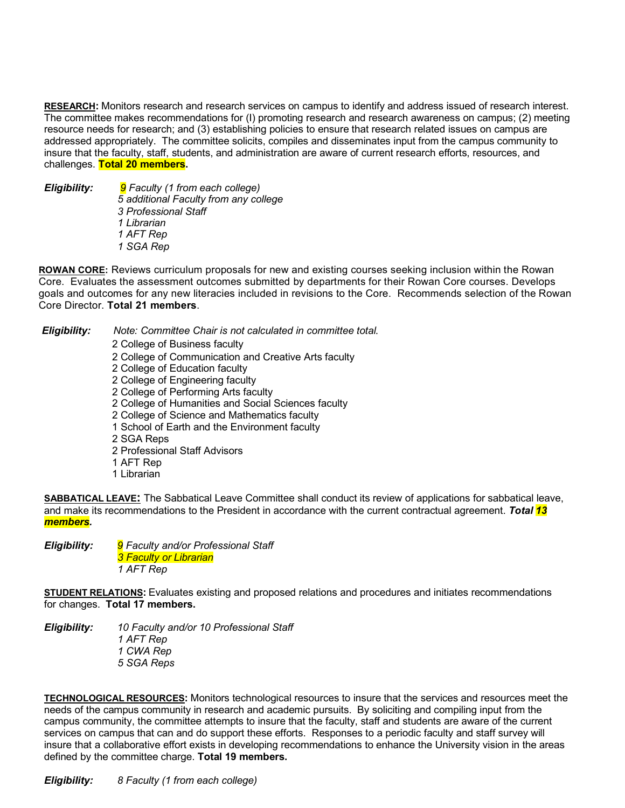**RESEARCH:** Monitors research and research services on campus to identify and address issued of research interest. The committee makes recommendations for (I) promoting research and research awareness on campus; (2) meeting resource needs for research; and (3) establishing policies to ensure that research related issues on campus are addressed appropriately. The committee solicits, compiles and disseminates input from the campus community to insure that the faculty, staff, students, and administration are aware of current research efforts, resources, and challenges. **Total 20 members.**

#### *Eligibility: 9 Faculty (1 from each college) 5 additional Faculty from any college 3 Professional Staff 1 Librarian 1 AFT Rep 1 SGA Rep*

**ROWAN CORE:** Reviews curriculum proposals for new and existing courses seeking inclusion within the Rowan Core. Evaluates the assessment outcomes submitted by departments for their Rowan Core courses. Develops goals and outcomes for any new literacies included in revisions to the Core. Recommends selection of the Rowan Core Director. **Total 21 members**.

## *Eligibility: Note: Committee Chair is not calculated in committee total.*

2 College of Business faculty 2 College of Communication and Creative Arts faculty 2 College of Education faculty 2 College of Engineering faculty 2 College of Performing Arts faculty 2 College of Humanities and Social Sciences faculty 2 College of Science and Mathematics faculty 1 School of Earth and the Environment faculty 2 SGA Reps 2 Professional Staff Advisors 1 AFT Rep 1 Librarian

**SABBATICAL LEAVE:** The Sabbatical Leave Committee shall conduct its review of applications for sabbatical leave, and make its recommendations to the President in accordance with the current contractual agreement. *Total 13 members.*

*Eligibility: 9 Faculty and/or Professional Staff 3 Faculty or Librarian 1 AFT Rep*

**STUDENT RELATIONS:** Evaluates existing and proposed relations and procedures and initiates recommendations for changes. **Total 17 members.**

*Eligibility: 10 Faculty and/or 10 Professional Staff 1 AFT Rep 1 CWA Rep 5 SGA Reps*

**TECHNOLOGICAL RESOURCES:** Monitors technological resources to insure that the services and resources meet the needs of the campus community in research and academic pursuits. By soliciting and compiling input from the campus community, the committee attempts to insure that the faculty, staff and students are aware of the current services on campus that can and do support these efforts. Responses to a periodic faculty and staff survey will insure that a collaborative effort exists in developing recommendations to enhance the University vision in the areas defined by the committee charge. **Total 19 members.**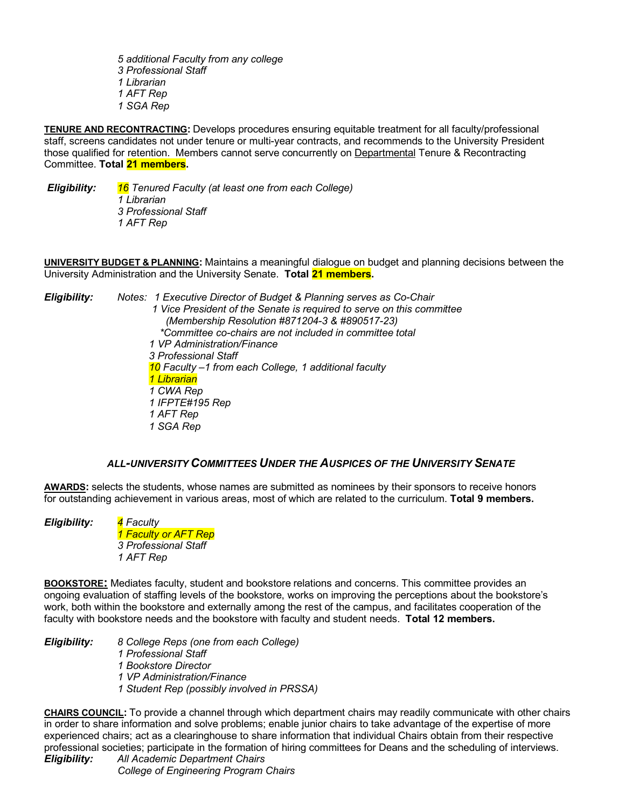*5 additional Faculty from any college 3 Professional Staff 1 Librarian 1 AFT Rep 1 SGA Rep*

**TENURE AND RECONTRACTING:** Develops procedures ensuring equitable treatment for all faculty/professional staff, screens candidates not under tenure or multi-year contracts, and recommends to the University President those qualified for retention. Members cannot serve concurrently on Departmental Tenure & Recontracting Committee. **Total 21 members.**

*Eligibility: 16 Tenured Faculty (at least one from each College) 1 Librarian*

*3 Professional Staff 1 AFT Rep*

**UNIVERSITY BUDGET & PLANNING:** Maintains a meaningful dialogue on budget and planning decisions between the University Administration and the University Senate. **Total 21 members.**

*Eligibility: Notes: 1 Executive Director of Budget & Planning serves as Co-Chair 1 Vice President of the Senate is required to serve on this committee (Membership Resolution #871204-3 & #890517-23) \*Committee co-chairs are not included in committee total 1 VP Administration/Finance 3 Professional Staff 10 Faculty –1 from each College, 1 additional faculty 1 Librarian 1 CWA Rep 1 IFPTE#195 Rep 1 AFT Rep 1 SGA Rep*

## *ALL-UNIVERSITY COMMITTEES UNDER THE AUSPICES OF THE UNIVERSITY SENATE*

**AWARDS:** selects the students, whose names are submitted as nominees by their sponsors to receive honors for outstanding achievement in various areas, most of which are related to the curriculum. **Total 9 members.**

*Eligibility: 4 Faculty 1 Faculty or AFT Rep 3 Professional Staff 1 AFT Rep*

**BOOKSTORE:** Mediates faculty, student and bookstore relations and concerns. This committee provides an ongoing evaluation of staffing levels of the bookstore, works on improving the perceptions about the bookstore's work, both within the bookstore and externally among the rest of the campus, and facilitates cooperation of the faculty with bookstore needs and the bookstore with faculty and student needs. **Total 12 members.**

*Eligibility: 8 College Reps (one from each College) 1 Professional Staff 1 Bookstore Director*

*1 VP Administration/Finance*

*1 Student Rep (possibly involved in PRSSA)*

**CHAIRS COUNCIL:** To provide a channel through which department chairs may readily communicate with other chairs in order to share information and solve problems; enable junior chairs to take advantage of the expertise of more experienced chairs; act as a clearinghouse to share information that individual Chairs obtain from their respective professional societies; participate in the formation of hiring committees for Deans and the scheduling of interviews.

*Eligibility: All Academic Department Chairs College of Engineering Program Chairs*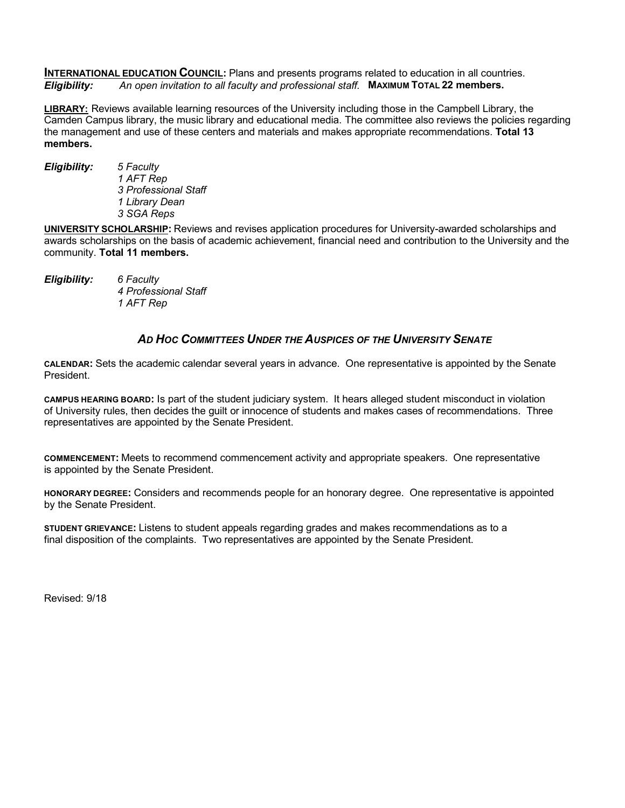**INTERNATIONAL EDUCATION COUNCIL:** Plans and presents programs related to education in all countries. *Eligibility: An open invitation to all faculty and professional staff.* **MAXIMUM TOTAL 22 members.**

**LIBRARY:** Reviews available learning resources of the University including those in the Campbell Library, the Camden Campus library, the music library and educational media. The committee also reviews the policies regarding the management and use of these centers and materials and makes appropriate recommendations. **Total 13 members.**

*Eligibility: 5 Faculty 1 AFT Rep 3 Professional Staff 1 Library Dean 3 SGA Reps*

**UNIVERSITY SCHOLARSHIP:** Reviews and revises application procedures for University-awarded scholarships and awards scholarships on the basis of academic achievement, financial need and contribution to the University and the community. **Total 11 members.**

*Eligibility: 6 Faculty 4 Professional Staff 1 AFT Rep*

# *AD HOC COMMITTEES UNDER THE AUSPICES OF THE UNIVERSITY SENATE*

**CALENDAR:** Sets the academic calendar several years in advance. One representative is appointed by the Senate President.

**CAMPUS HEARING BOARD:** Is part of the student judiciary system. It hears alleged student misconduct in violation of University rules, then decides the guilt or innocence of students and makes cases of recommendations. Three representatives are appointed by the Senate President.

**COMMENCEMENT:** Meets to recommend commencement activity and appropriate speakers. One representative is appointed by the Senate President.

**HONORARY DEGREE:** Considers and recommends people for an honorary degree. One representative is appointed by the Senate President.

**STUDENT GRIEVANCE:** Listens to student appeals regarding grades and makes recommendations as to a final disposition of the complaints. Two representatives are appointed by the Senate President.

Revised: 9/18